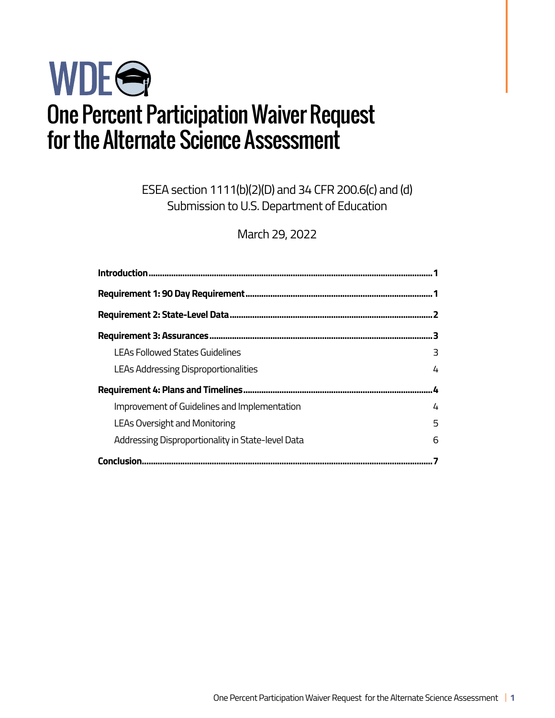# WDEG One Percent Participation Waiver Request for the Alternate Science Assessment

ESEA section 1111(b)(2)(D) and 34 CFR 200.6(c) and (d) Submission to U.S. Department of Education

March 29, 2022

| Introduction                                      |   |
|---------------------------------------------------|---|
|                                                   |   |
|                                                   |   |
|                                                   | R |
| LEAs Followed States Guidelines                   | 3 |
| LEAs Addressing Disproportionalities              | 4 |
|                                                   | Ŀ |
| Improvement of Guidelines and Implementation      | 4 |
| <b>LEAs Oversight and Monitoring</b>              | 5 |
| Addressing Disproportionality in State-level Data | 6 |
| <b>Conclusion.</b>                                |   |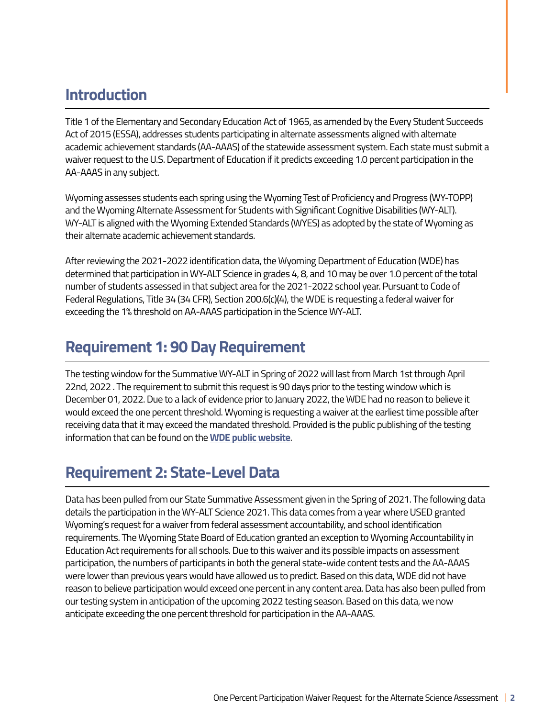## **Introduction**

Title 1 of the Elementary and Secondary Education Act of 1965, as amended by the Every Student Succeeds Act of 2015 (ESSA), addresses students participating in alternate assessments aligned with alternate academic achievement standards (AA-AAAS) of the statewide assessment system. Each state must submit a waiver request to the U.S. Department of Education if it predicts exceeding 1.0 percent participation in the AA-AAAS in any subject.

Wyoming assesses students each spring using the Wyoming Test of Proficiency and Progress (WY-TOPP) and the Wyoming Alternate Assessment for Students with Significant Cognitive Disabilities (WY-ALT). WY-ALT is aligned with the Wyoming Extended Standards (WYES) as adopted by the state of Wyoming as their alternate academic achievement standards.

After reviewing the 2021-2022 identification data, the Wyoming Department of Education (WDE) has determined that participation in WY-ALT Science in grades 4, 8, and 10 may be over 1.0 percent of the total number of students assessed in that subject area for the 2021-2022 school year. Pursuant to Code of Federal Regulations, Title 34 (34 CFR), Section 200.6(c)(4), the WDE is requesting a federal waiver for exceeding the 1% threshold on AA-AAAS participation in the Science WY-ALT.

## **Requirement 1: 90 Day Requirement**

The testing window for the Summative WY-ALT in Spring of 2022 will last from March 1st through April 22nd, 2022 . The requirement to submit this request is 90 days prior to the testing window which is December 01, 2022. Due to a lack of evidence prior to January 2022, the WDE had no reason to believe it would exceed the one percent threshold. Wyoming is requesting a waiver at the earliest time possible after receiving data that it may exceed the mandated threshold. Provided is the public publishing of the testing information that can be found on the **[WDE public website](https://edu.wyoming.gov/for-district-leadership/state-assessment/schedule/)**.

## **Requirement 2: State-Level Data**

Data has been pulled from our State Summative Assessment given in the Spring of 2021. The following data details the participation in the WY-ALT Science 2021. This data comes from a year where USED granted Wyoming's request for a waiver from federal assessment accountability, and school identification requirements. The Wyoming State Board of Education granted an exception to Wyoming Accountability in Education Act requirements for all schools. Due to this waiver and its possible impacts on assessment participation, the numbers of participants in both the general state-wide content tests and the AA-AAAS were lower than previous years would have allowed us to predict. Based on this data, WDE did not have reason to believe participation would exceed one percent in any content area. Data has also been pulled from our testing system in anticipation of the upcoming 2022 testing season. Based on this data, we now anticipate exceeding the one percent threshold for participation in the AA-AAAS.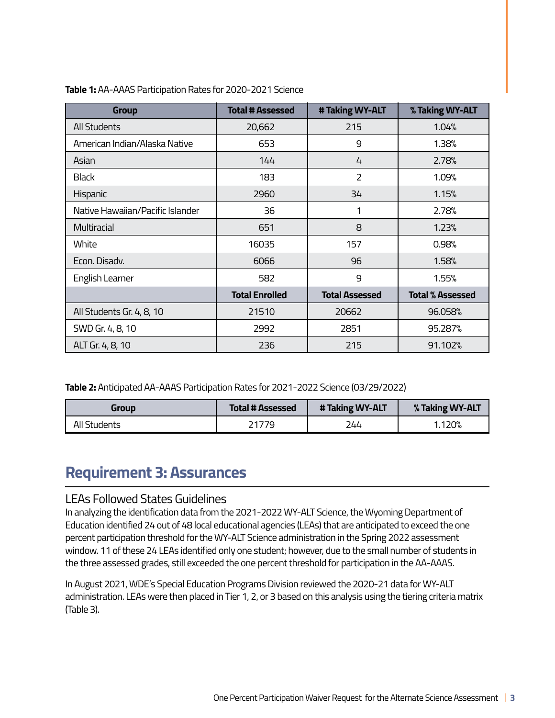| <b>Group</b>                     | <b>Total # Assessed</b> | # Taking WY-ALT       | % Taking WY-ALT         |
|----------------------------------|-------------------------|-----------------------|-------------------------|
| All Students                     | 20,662                  | 215                   | 1.04%                   |
| American Indian/Alaska Native    | 653                     | 9                     | 1.38%                   |
| Asian                            | 144                     | 4                     | 2.78%                   |
| Black                            | 183                     | $\overline{2}$        | 1.09%                   |
| Hispanic                         | 2960                    | 34                    | 1.15%                   |
| Native Hawaiian/Pacific Islander | 36                      | 1                     | 2.78%                   |
| Multiracial                      | 651                     | 8                     | 1.23%                   |
| White                            | 16035                   | 157                   | 0.98%                   |
| Econ. Disadv.                    | 6066                    | 96                    | 1.58%                   |
| English Learner                  | 582                     | 9                     | 1.55%                   |
|                                  | <b>Total Enrolled</b>   | <b>Total Assessed</b> | <b>Total % Assessed</b> |
| All Students Gr. 4, 8, 10        | 21510                   | 20662                 | 96.058%                 |
| SWD Gr. 4, 8, 10                 | 2992                    | 2851                  | 95.287%                 |
| ALT Gr. 4, 8, 10                 | 236                     | 215                   | 91.102%                 |

**Table 1:** AA-AAAS Participation Rates for 2020-2021 Science

**Table 2:** Anticipated AA-AAAS Participation Rates for 2021-2022 Science (03/29/2022)

| <b>Group</b> | <b>Total # Assessed</b> | # Taking WY-ALT | % Taking WY-ALT |
|--------------|-------------------------|-----------------|-----------------|
| All Students | <u> 21779.</u>          | 244             | 1.120%          |

## **Requirement 3: Assurances**

#### LEAs Followed States Guidelines

In analyzing the identification data from the 2021-2022 WY-ALT Science, the Wyoming Department of Education identified 24 out of 48 local educational agencies (LEAs) that are anticipated to exceed the one percent participation threshold for the WY-ALT Science administration in the Spring 2022 assessment window. 11 of these 24 LEAs identified only one student; however, due to the small number of students in the three assessed grades, still exceeded the one percent threshold for participation in the AA-AAAS.

In August 2021, WDE's Special Education Programs Division reviewed the 2020-21 data for WY-ALT administration. LEAs were then placed in Tier 1, 2, or 3 based on this analysis using the tiering criteria matrix (Table 3).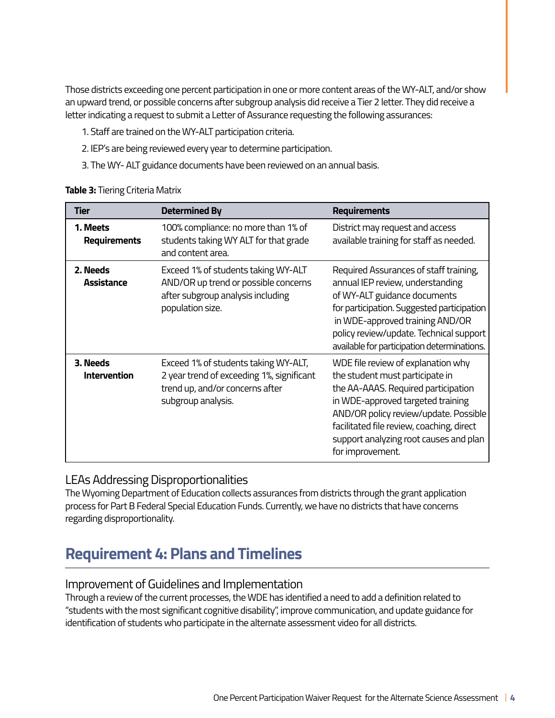Those districts exceeding one percent participation in one or more content areas of the WY-ALT, and/or show an upward trend, or possible concerns after subgroup analysis did receive a Tier 2 letter. They did receive a letter indicating a request to submit a Letter of Assurance requesting the following assurances:

- 1. Staff are trained on the WY-ALT participation criteria.
- 2. IEP's are being reviewed every year to determine participation.
- 3. The WY- ALT guidance documents have been reviewed on an annual basis.

| Table 3: Tiering Criteria Matrix |  |
|----------------------------------|--|
|----------------------------------|--|

| Tier                            | <b>Determined By</b>                                                                                                                       | <b>Requirements</b>                                                                                                                                                                                                                                                                                   |
|---------------------------------|--------------------------------------------------------------------------------------------------------------------------------------------|-------------------------------------------------------------------------------------------------------------------------------------------------------------------------------------------------------------------------------------------------------------------------------------------------------|
| 1. Meets<br>Requirements        | 100% compliance: no more than 1% of<br>students taking WY ALT for that grade<br>and content area.                                          | District may request and access<br>available training for staff as needed.                                                                                                                                                                                                                            |
| 2. Needs<br><b>Assistance</b>   | Exceed 1% of students taking WY-ALT<br>AND/OR up trend or possible concerns<br>after subgroup analysis including<br>population size.       | Required Assurances of staff training,<br>annual IEP review, understanding<br>of WY-ALT guidance documents<br>for participation. Suggested participation<br>in WDE-approved training AND/OR<br>policy review/update. Technical support<br>available for participation determinations.                 |
| 3. Needs<br><b>Intervention</b> | Exceed 1% of students taking WY-ALT,<br>2 year trend of exceeding 1%, significant<br>trend up, and/or concerns after<br>subgroup analysis. | WDE file review of explanation why<br>the student must participate in<br>the AA-AAAS. Required participation<br>in WDE-approved targeted training<br>AND/OR policy review/update. Possible<br>facilitated file review, coaching, direct<br>support analyzing root causes and plan<br>for improvement. |

#### LEAs Addressing Disproportionalities

The Wyoming Department of Education collects assurances from districts through the grant application process for Part B Federal Special Education Funds. Currently, we have no districts that have concerns regarding disproportionality.

## **Requirement 4: Plans and Timelines**

#### Improvement of Guidelines and Implementation

Through a review of the current processes, the WDE has identified a need to add a definition related to "students with the most significant cognitive disability", improve communication, and update guidance for identification of students who participate in the alternate assessment video for all districts.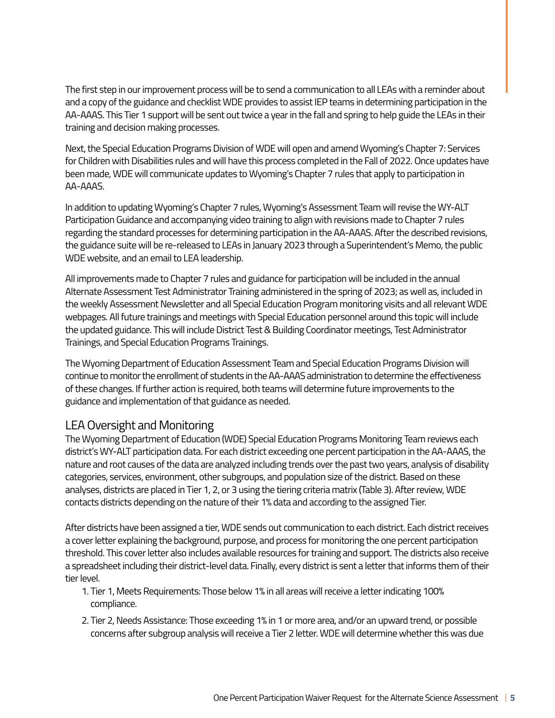The first step in our improvement process will be to send a communication to all LEAs with a reminder about and a copy of the guidance and checklist WDE provides to assist IEP teams in determining participation in the AA-AAAS. This Tier 1 support will be sent out twice a year in the fall and spring to help guide the LEAs in their training and decision making processes.

Next, the Special Education Programs Division of WDE will open and amend Wyoming's Chapter 7: Services for Children with Disabilities rules and will have this process completed in the Fall of 2022. Once updates have been made, WDE will communicate updates to Wyoming's Chapter 7 rules that apply to participation in AA-AAAS.

In addition to updating Wyoming's Chapter 7 rules, Wyoming's Assessment Team will revise the WY-ALT Participation Guidance and accompanying video training to align with revisions made to Chapter 7 rules regarding the standard processes for determining participation in the AA-AAAS. After the described revisions, the guidance suite will be re-released to LEAs in January 2023 through a Superintendent's Memo, the public WDE website, and an email to LEA leadership.

All improvements made to Chapter 7 rules and guidance for participation will be included in the annual Alternate Assessment Test Administrator Training administered in the spring of 2023; as well as, included in the weekly Assessment Newsletter and all Special Education Program monitoring visits and all relevant WDE webpages. All future trainings and meetings with Special Education personnel around this topic will include the updated guidance. This will include District Test & Building Coordinator meetings, Test Administrator Trainings, and Special Education Programs Trainings.

The Wyoming Department of Education Assessment Team and Special Education Programs Division will continue to monitor the enrollment of students in the AA-AAAS administration to determine the effectiveness of these changes. If further action is required, both teams will determine future improvements to the guidance and implementation of that guidance as needed.

### LEA Oversight and Monitoring

The Wyoming Department of Education (WDE) Special Education Programs Monitoring Team reviews each district's WY-ALT participation data. For each district exceeding one percent participation in the AA-AAAS, the nature and root causes of the data are analyzed including trends over the past two years, analysis of disability categories, services, environment, other subgroups, and population size of the district. Based on these analyses, districts are placed in Tier 1, 2, or 3 using the tiering criteria matrix (Table 3). After review, WDE contacts districts depending on the nature of their 1% data and according to the assigned Tier.

After districts have been assigned a tier, WDE sends out communication to each district. Each district receives a cover letter explaining the background, purpose, and process for monitoring the one percent participation threshold. This cover letter also includes available resources for training and support. The districts also receive a spreadsheet including their district-level data. Finally, every district is sent a letter that informs them of their tier level.

- 1. Tier 1, Meets Requirements: Those below 1% in all areas will receive a letter indicating 100% compliance.
- 2. Tier 2, Needs Assistance: Those exceeding 1% in 1 or more area, and/or an upward trend, or possible concerns after subgroup analysis will receive a Tier 2 letter. WDE will determine whether this was due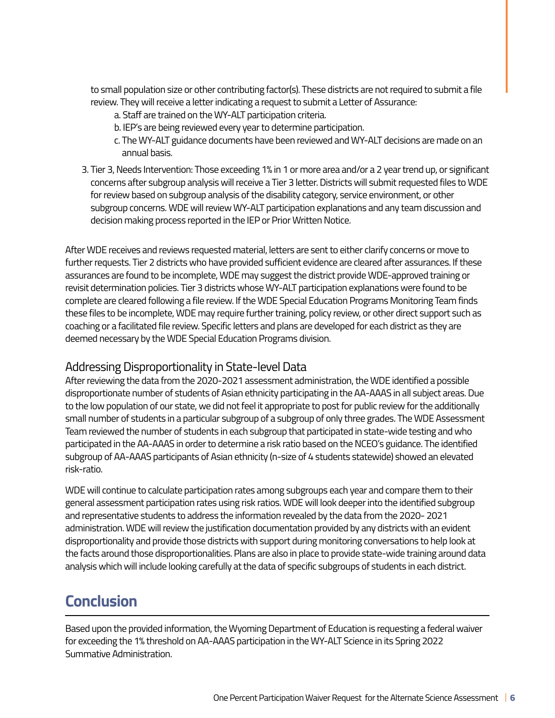to small population size or other contributing factor(s). These districts are not required to submit a file review. They will receive a letter indicating a request to submit a Letter of Assurance:

- a. Staff are trained on the WY-ALT participation criteria.
- b. IEP's are being reviewed every year to determine participation.
- c. The WY-ALT guidance documents have been reviewed and WY-ALT decisions are made on an annual basis.
- 3. Tier 3, Needs Intervention: Those exceeding 1% in 1 or more area and/or a 2 year trend up, or significant concerns after subgroup analysis will receive a Tier 3 letter. Districts will submit requested files to WDE for review based on subgroup analysis of the disability category, service environment, or other subgroup concerns. WDE will review WY-ALT participation explanations and any team discussion and decision making process reported in the IEP or Prior Written Notice.

After WDE receives and reviews requested material, letters are sent to either clarify concerns or move to further requests. Tier 2 districts who have provided sufficient evidence are cleared after assurances. If these assurances are found to be incomplete, WDE may suggest the district provide WDE-approved training or revisit determination policies. Tier 3 districts whose WY-ALT participation explanations were found to be complete are cleared following a file review. If the WDE Special Education Programs Monitoring Team finds these files to be incomplete, WDE may require further training, policy review, or other direct support such as coaching or a facilitated file review. Specific letters and plans are developed for each district as they are deemed necessary by the WDE Special Education Programs division.

#### Addressing Disproportionality in State-level Data

After reviewing the data from the 2020-2021 assessment administration, the WDE identified a possible disproportionate number of students of Asian ethnicity participating in the AA-AAAS in all subject areas. Due to the low population of our state, we did not feel it appropriate to post for public review for the additionally small number of students in a particular subgroup of a subgroup of only three grades. The WDE Assessment Team reviewed the number of students in each subgroup that participated in state-wide testing and who participated in the AA-AAAS in order to determine a risk ratio based on the NCEO's guidance. The identified subgroup of AA-AAAS participants of Asian ethnicity (n-size of 4 students statewide) showed an elevated risk-ratio.

WDE will continue to calculate participation rates among subgroups each year and compare them to their general assessment participation rates using risk ratios. WDE will look deeper into the identified subgroup and representative students to address the information revealed by the data from the 2020- 2021 administration. WDE will review the justification documentation provided by any districts with an evident disproportionality and provide those districts with support during monitoring conversations to help look at the facts around those disproportionalities. Plans are also in place to provide state-wide training around data analysis which will include looking carefully at the data of specific subgroups of students in each district.

## **Conclusion**

Based upon the provided information, the Wyoming Department of Education is requesting a federal waiver for exceeding the 1% threshold on AA-AAAS participation in the WY-ALT Science in its Spring 2022 Summative Administration.